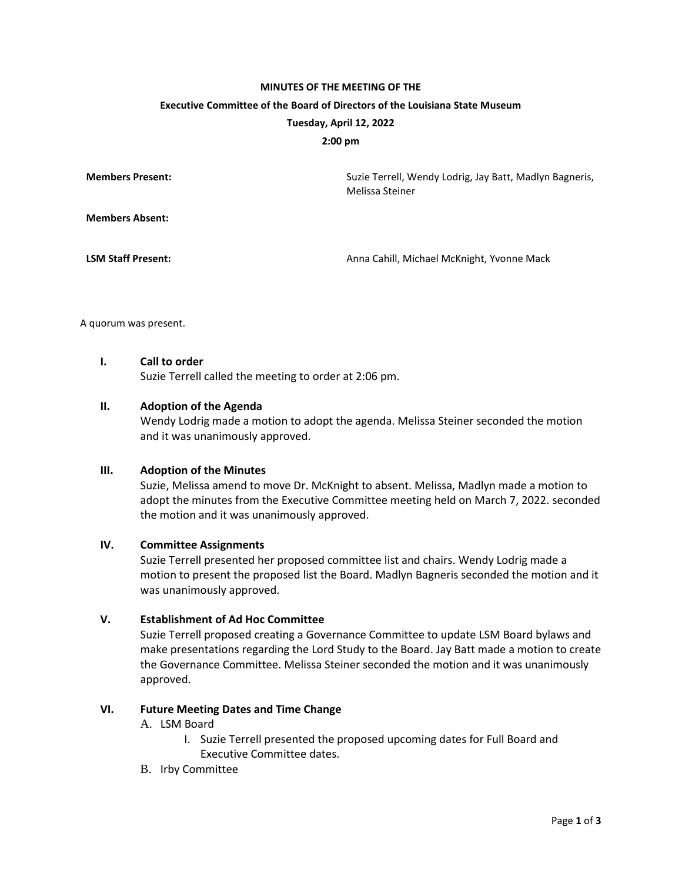# **MINUTES OF THE MEETING OF THE Executive Committee of the Board of Directors of the Louisiana State Museum Tuesday, April 12, 2022**

#### **2:00 pm**

| <b>Members Present:</b>   | Suzie Terrell, Wendy Lodrig, Jay Batt, Madlyn Bagneris,<br>Melissa Steiner |
|---------------------------|----------------------------------------------------------------------------|
| <b>Members Absent:</b>    |                                                                            |
| <b>LSM Staff Present:</b> | Anna Cahill, Michael McKnight, Yvonne Mack                                 |

A quorum was present.

#### **I. Call to order**

Suzie Terrell called the meeting to order at 2:06 pm.

#### **II. Adoption of the Agenda**

Wendy Lodrig made a motion to adopt the agenda. Melissa Steiner seconded the motion and it was unanimously approved.

#### **III. Adoption of the Minutes**

Suzie, Melissa amend to move Dr. McKnight to absent. Melissa, Madlyn made a motion to adopt the minutes from the Executive Committee meeting held on March 7, 2022. seconded the motion and it was unanimously approved.

#### **IV. Committee Assignments**

Suzie Terrell presented her proposed committee list and chairs. Wendy Lodrig made a motion to present the proposed list the Board. Madlyn Bagneris seconded the motion and it was unanimously approved.

# **V. Establishment of Ad Hoc Committee**

Suzie Terrell proposed creating a Governance Committee to update LSM Board bylaws and make presentations regarding the Lord Study to the Board. Jay Batt made a motion to create the Governance Committee. Melissa Steiner seconded the motion and it was unanimously approved.

# **VI. Future Meeting Dates and Time Change**

#### A. LSM Board

- I. Suzie Terrell presented the proposed upcoming dates for Full Board and Executive Committee dates.
- B. Irby Committee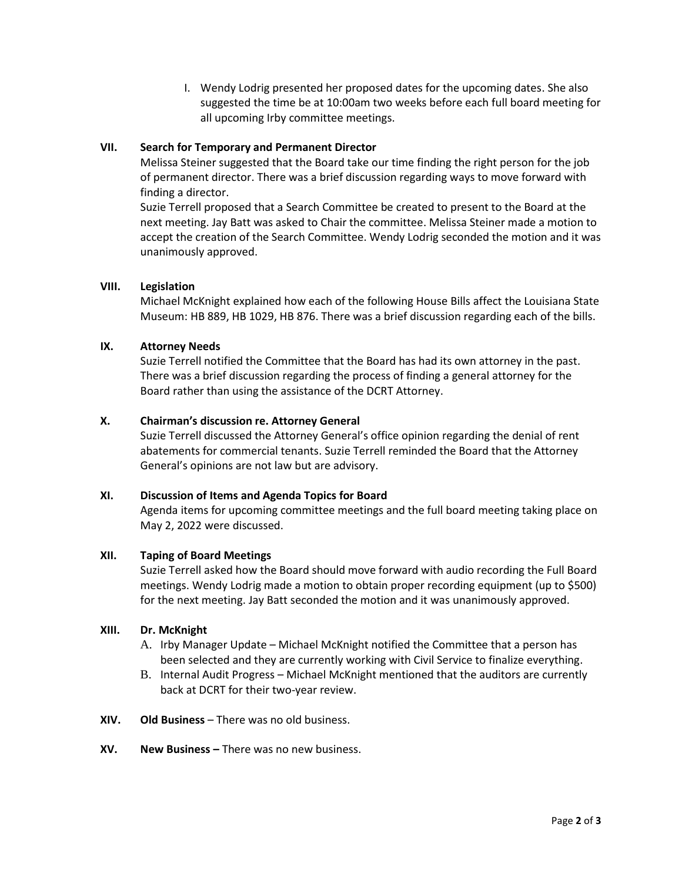I. Wendy Lodrig presented her proposed dates for the upcoming dates. She also suggested the time be at 10:00am two weeks before each full board meeting for all upcoming Irby committee meetings.

# **VII. Search for Temporary and Permanent Director**

Melissa Steiner suggested that the Board take our time finding the right person for the job of permanent director. There was a brief discussion regarding ways to move forward with finding a director.

Suzie Terrell proposed that a Search Committee be created to present to the Board at the next meeting. Jay Batt was asked to Chair the committee. Melissa Steiner made a motion to accept the creation of the Search Committee. Wendy Lodrig seconded the motion and it was unanimously approved.

# **VIII. Legislation**

Michael McKnight explained how each of the following House Bills affect the Louisiana State Museum: HB 889, HB 1029, HB 876. There was a brief discussion regarding each of the bills.

# **IX. Attorney Needs**

Suzie Terrell notified the Committee that the Board has had its own attorney in the past. There was a brief discussion regarding the process of finding a general attorney for the Board rather than using the assistance of the DCRT Attorney.

# **X. Chairman's discussion re. Attorney General**

Suzie Terrell discussed the Attorney General's office opinion regarding the denial of rent abatements for commercial tenants. Suzie Terrell reminded the Board that the Attorney General's opinions are not law but are advisory.

# **XI. Discussion of Items and Agenda Topics for Board**

Agenda items for upcoming committee meetings and the full board meeting taking place on May 2, 2022 were discussed.

#### **XII. Taping of Board Meetings**

Suzie Terrell asked how the Board should move forward with audio recording the Full Board meetings. Wendy Lodrig made a motion to obtain proper recording equipment (up to \$500) for the next meeting. Jay Batt seconded the motion and it was unanimously approved.

#### **XIII. Dr. McKnight**

- A. Irby Manager Update Michael McKnight notified the Committee that a person has been selected and they are currently working with Civil Service to finalize everything.
- B. Internal Audit Progress Michael McKnight mentioned that the auditors are currently back at DCRT for their two-year review.
- **XIV. Old Business**  There was no old business.
- **XV. New Business –** There was no new business.